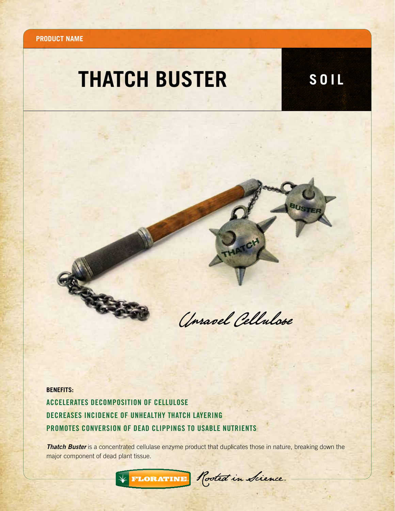**Product name**

## **THATCH BUSTER SOIL**



**BENEFITS:**

Accelerates Decomposition of Cellulose DECREASES INCIDENCE OF UNHEALTHY THATCH LAYERING Promotes Conversion of Dead Clippings to Usable Nutrients

**Thatch Buster** is a concentrated cellulase enzyme product that duplicates those in nature, breaking down the major component of dead plant tissue.

\* FLORATINE. Rooted in Science.